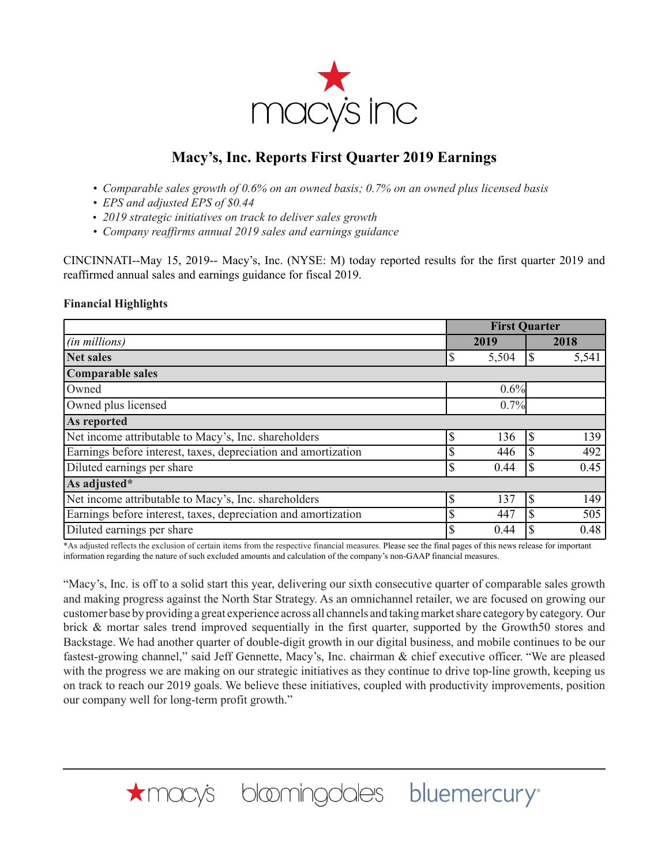

# **Macy's, Inc. Reports First Quarter 2019 Earnings**

- *Comparable sales growth of 0.6% on an owned basis; 0.7% on an owned plus licensed basis*
- *EPS and adjusted EPS of \$0.44*
- *2019 strategic initiatives on track to deliver sales growth*
- *Company reaffirms annual 2019 sales and earnings guidance*

CINCINNATI--May 15, 2019-- Macy's, Inc. (NYSE: M) today reported results for the first quarter 2019 and reaffirmed annual sales and earnings guidance for fiscal 2019.

# **Financial Highlights**

|                                                                | <b>First Quarter</b> |                        |  |  |  |  |  |
|----------------------------------------------------------------|----------------------|------------------------|--|--|--|--|--|
| (in millions)                                                  | 2019                 | 2018                   |  |  |  |  |  |
| <b>Net sales</b>                                               | 5,504                | <sup>\$</sup><br>5,541 |  |  |  |  |  |
| <b>Comparable sales</b>                                        |                      |                        |  |  |  |  |  |
| Owned                                                          | 0.6%                 |                        |  |  |  |  |  |
| Owned plus licensed                                            | 0.7%                 |                        |  |  |  |  |  |
| As reported                                                    |                      |                        |  |  |  |  |  |
| Net income attributable to Macy's, Inc. shareholders           | \$<br>136            | l S<br>139             |  |  |  |  |  |
| Earnings before interest, taxes, depreciation and amortization | 446                  | 492<br>S               |  |  |  |  |  |
| Diluted earnings per share                                     | \$<br>0.44           | 0.45<br>l S            |  |  |  |  |  |
| As adjusted*                                                   |                      |                        |  |  |  |  |  |
| Net income attributable to Macy's, Inc. shareholders           | \$<br>137            | 149<br><sup>\$</sup>   |  |  |  |  |  |
| Earnings before interest, taxes, depreciation and amortization | \$<br>447            | 505<br><sup>\$</sup>   |  |  |  |  |  |
| Diluted earnings per share                                     | \$<br>0.44           | 0.48<br><sup>\$</sup>  |  |  |  |  |  |

\*As adjusted reflects the exclusion of certain items from the respective financial measures. Please see the final pages of this news release for important information regarding the nature of such excluded amounts and calculation of the company's non-GAAP financial measures.

"Macy's, Inc. is off to a solid start this year, delivering our sixth consecutive quarter of comparable sales growth and making progress against the North Star Strategy. As an omnichannel retailer, we are focused on growing our customer base by providing a great experience across all channels and taking market share category by category. Our brick & mortar sales trend improved sequentially in the first quarter, supported by the Growth50 stores and Backstage. We had another quarter of double-digit growth in our digital business, and mobile continues to be our fastest-growing channel," said Jeff Gennette, Macy's, Inc. chairman & chief executive officer. "We are pleased with the progress we are making on our strategic initiatives as they continue to drive top-line growth, keeping us on track to reach our 2019 goals. We believe these initiatives, coupled with productivity improvements, position our company well for long-term profit growth."

**\*macy's** bloomingdales bluemercury<sup>®</sup>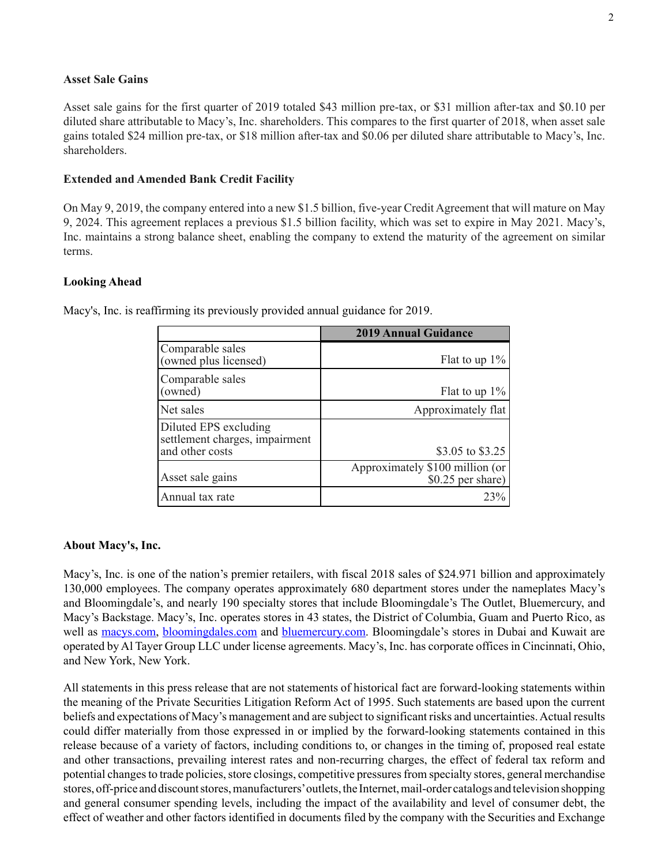#### **Asset Sale Gains**

Asset sale gains for the first quarter of 2019 totaled \$43 million pre-tax, or \$31 million after-tax and \$0.10 per diluted share attributable to Macy's, Inc. shareholders. This compares to the first quarter of 2018, when asset sale gains totaled \$24 million pre-tax, or \$18 million after-tax and \$0.06 per diluted share attributable to Macy's, Inc. shareholders.

#### **Extended and Amended Bank Credit Facility**

On May 9, 2019, the company entered into a new \$1.5 billion, five-year Credit Agreement that will mature on May 9, 2024. This agreement replaces a previous \$1.5 billion facility, which was set to expire in May 2021. Macy's, Inc. maintains a strong balance sheet, enabling the company to extend the maturity of the agreement on similar terms.

#### **Looking Ahead**

|                                                                            | <b>2019 Annual Guidance</b>                           |
|----------------------------------------------------------------------------|-------------------------------------------------------|
| Comparable sales<br>(owned plus licensed)                                  | Flat to up $1\%$                                      |
| Comparable sales<br>(owned)                                                | Flat to up $1\%$                                      |
| Net sales                                                                  | Approximately flat                                    |
| Diluted EPS excluding<br>settlement charges, impairment<br>and other costs | \$3.05 to \$3.25                                      |
| Asset sale gains                                                           | Approximately \$100 million (or<br>$$0.25$ per share) |
| Annual tax rate                                                            | 23%                                                   |

Macy's, Inc. is reaffirming its previously provided annual guidance for 2019.

## **About Macy's, Inc.**

Macy's, Inc. is one of the nation's premier retailers, with fiscal 2018 sales of \$24.971 billion and approximately 130,000 employees. The company operates approximately 680 department stores under the nameplates Macy's and Bloomingdale's, and nearly 190 specialty stores that include Bloomingdale's The Outlet, Bluemercury, and Macy's Backstage. Macy's, Inc. operates stores in 43 states, the District of Columbia, Guam and Puerto Rico, as well as macys.com, bloomingdales.com and bluemercury.com. Bloomingdale's stores in Dubai and Kuwait are operated by Al Tayer Group LLC under license agreements. Macy's, Inc. has corporate offices in Cincinnati, Ohio, and New York, New York.

All statements in this press release that are not statements of historical fact are forward-looking statements within the meaning of the Private Securities Litigation Reform Act of 1995. Such statements are based upon the current beliefs and expectations of Macy's management and are subject to significant risks and uncertainties. Actual results could differ materially from those expressed in or implied by the forward-looking statements contained in this release because of a variety of factors, including conditions to, or changes in the timing of, proposed real estate and other transactions, prevailing interest rates and non-recurring charges, the effect of federal tax reform and potential changes to trade policies, store closings, competitive pressures from specialty stores, general merchandise stores, off-price and discount stores, manufacturers'outlets, the Internet, mail-order catalogs and television shopping and general consumer spending levels, including the impact of the availability and level of consumer debt, the effect of weather and other factors identified in documents filed by the company with the Securities and Exchange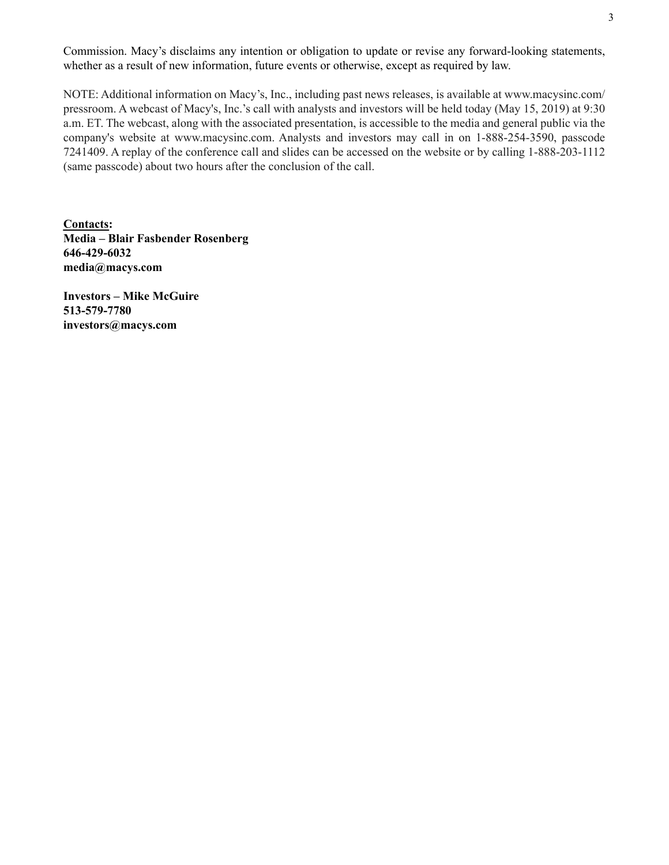Commission. Macy's disclaims any intention or obligation to update or revise any forward-looking statements, whether as a result of new information, future events or otherwise, except as required by law.

NOTE: Additional information on Macy's, Inc., including past news releases, is available at www.macysinc.com/ pressroom. A webcast of Macy's, Inc.'s call with analysts and investors will be held today (May 15, 2019) at 9:30 a.m. ET. The webcast, along with the associated presentation, is accessible to the media and general public via the company's website at www.macysinc.com. Analysts and investors may call in on 1-888-254-3590, passcode 7241409. A replay of the conference call and slides can be accessed on the website or by calling 1-888-203-1112 (same passcode) about two hours after the conclusion of the call.

**Contacts: Media – Blair Fasbender Rosenberg 646-429-6032 media@macys.com**

**Investors – Mike McGuire 513-579-7780 investors@macys.com**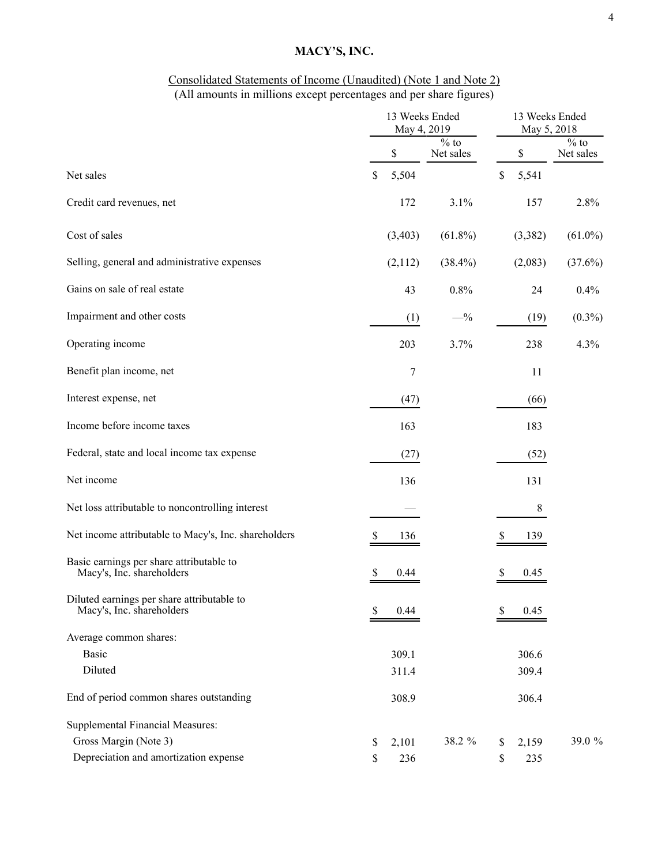### Consolidated Statements of Income (Unaudited) (Note 1 and Note 2) (All amounts in millions except percentages and per share figures)

|                                                                         |                           | 13 Weeks Ended<br>May 4, 2019 |                     |             | 13 Weeks Ended<br>May 5, 2018 |                     |  |
|-------------------------------------------------------------------------|---------------------------|-------------------------------|---------------------|-------------|-------------------------------|---------------------|--|
|                                                                         |                           | \$                            | $%$ to<br>Net sales |             | \$                            | $%$ to<br>Net sales |  |
| Net sales                                                               | \$                        | 5,504                         |                     | $\mathbb S$ | 5,541                         |                     |  |
| Credit card revenues, net                                               |                           | 172                           | 3.1%                |             | 157                           | 2.8%                |  |
| Cost of sales                                                           |                           | (3,403)                       | $(61.8\%)$          |             | (3,382)                       | $(61.0\%)$          |  |
| Selling, general and administrative expenses                            |                           | (2,112)                       | $(38.4\%)$          |             | (2,083)                       | $(37.6\%)$          |  |
| Gains on sale of real estate                                            |                           | 43                            | 0.8%                |             | 24                            | 0.4%                |  |
| Impairment and other costs                                              |                           | (1)                           | $-$ %               |             | (19)                          | $(0.3\%)$           |  |
| Operating income                                                        |                           | 203                           | 3.7%                |             | 238                           | 4.3%                |  |
| Benefit plan income, net                                                |                           | 7                             |                     |             | 11                            |                     |  |
| Interest expense, net                                                   |                           | (47)                          |                     |             | (66)                          |                     |  |
| Income before income taxes                                              |                           | 163                           |                     |             | 183                           |                     |  |
| Federal, state and local income tax expense                             |                           | (27)                          |                     |             | (52)                          |                     |  |
| Net income                                                              |                           | 136                           |                     |             | 131                           |                     |  |
| Net loss attributable to noncontrolling interest                        |                           |                               |                     |             | 8                             |                     |  |
| Net income attributable to Macy's, Inc. shareholders                    | <sup>8</sup>              | 136                           |                     | S.          | 139                           |                     |  |
| Basic earnings per share attributable to<br>Macy's, Inc. shareholders   | \$                        | 0.44                          |                     | \$          | 0.45                          |                     |  |
| Diluted earnings per share attributable to<br>Macy's, Inc. shareholders | $\boldsymbol{\mathsf{S}}$ | 0.44                          |                     | \$          | 0.45                          |                     |  |
| Average common shares:                                                  |                           |                               |                     |             |                               |                     |  |
| <b>Basic</b>                                                            |                           | 309.1                         |                     |             | 306.6                         |                     |  |
| Diluted                                                                 |                           | 311.4                         |                     |             | 309.4                         |                     |  |
| End of period common shares outstanding                                 |                           | 308.9                         |                     |             | 306.4                         |                     |  |
| Supplemental Financial Measures:                                        |                           |                               |                     |             |                               |                     |  |
| Gross Margin (Note 3)                                                   | \$                        | 2,101                         | 38.2 %              | \$          | 2,159                         | 39.0 %              |  |
| Depreciation and amortization expense                                   | \$                        | 236                           |                     | \$          | 235                           |                     |  |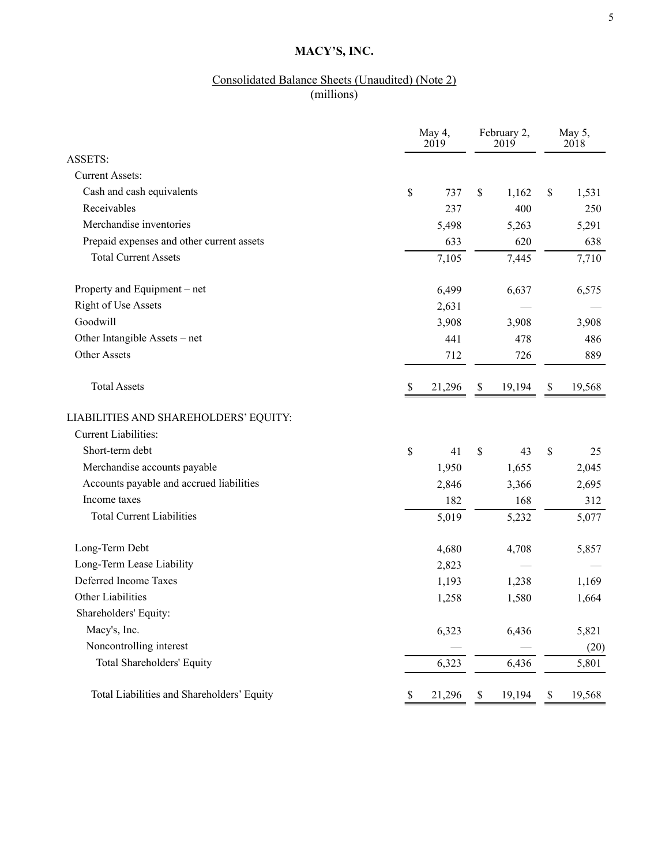# Consolidated Balance Sheets (Unaudited) (Note 2)

(millions)

|                                            | May 4,<br>2019 |        | February 2,<br>2019 |        | May 5,<br>2018 |
|--------------------------------------------|----------------|--------|---------------------|--------|----------------|
| <b>ASSETS:</b>                             |                |        |                     |        |                |
| <b>Current Assets:</b>                     |                |        |                     |        |                |
| Cash and cash equivalents                  | $\mathbb S$    | 737    | \$                  | 1,162  | \$<br>1,531    |
| Receivables                                |                | 237    |                     | 400    | 250            |
| Merchandise inventories                    |                | 5,498  |                     | 5,263  | 5,291          |
| Prepaid expenses and other current assets  |                | 633    |                     | 620    | 638            |
| <b>Total Current Assets</b>                |                | 7,105  |                     | 7,445  | 7,710          |
| Property and Equipment – net               |                | 6,499  |                     | 6,637  | 6,575          |
| <b>Right of Use Assets</b>                 |                | 2,631  |                     |        |                |
| Goodwill                                   |                | 3,908  |                     | 3,908  | 3,908          |
| Other Intangible Assets - net              |                | 441    |                     | 478    | 486            |
| <b>Other Assets</b>                        |                | 712    |                     | 726    | 889            |
| <b>Total Assets</b>                        | S.             | 21,296 | \$                  | 19,194 | \$<br>19,568   |
| LIABILITIES AND SHAREHOLDERS' EQUITY:      |                |        |                     |        |                |
| <b>Current Liabilities:</b>                |                |        |                     |        |                |
| Short-term debt                            | $\mathbb S$    | 41     | \$                  | 43     | \$<br>25       |
| Merchandise accounts payable               |                | 1,950  |                     | 1,655  | 2,045          |
| Accounts payable and accrued liabilities   |                | 2,846  |                     | 3,366  | 2,695          |
| Income taxes                               |                | 182    |                     | 168    | 312            |
| <b>Total Current Liabilities</b>           |                | 5,019  |                     | 5,232  | 5,077          |
| Long-Term Debt                             |                | 4,680  |                     | 4,708  | 5,857          |
| Long-Term Lease Liability                  |                | 2,823  |                     |        |                |
| Deferred Income Taxes                      |                | 1,193  |                     | 1,238  | 1,169          |
| Other Liabilities                          |                | 1,258  |                     | 1,580  | 1,664          |
| Shareholders' Equity:                      |                |        |                     |        |                |
| Macy's, Inc.                               |                | 6,323  |                     | 6,436  | 5,821          |
| Noncontrolling interest                    |                |        |                     |        | (20)           |
| <b>Total Shareholders' Equity</b>          |                | 6,323  |                     | 6,436  | 5,801          |
| Total Liabilities and Shareholders' Equity | Y.             | 21,296 | \$                  | 19,194 | \$<br>19,568   |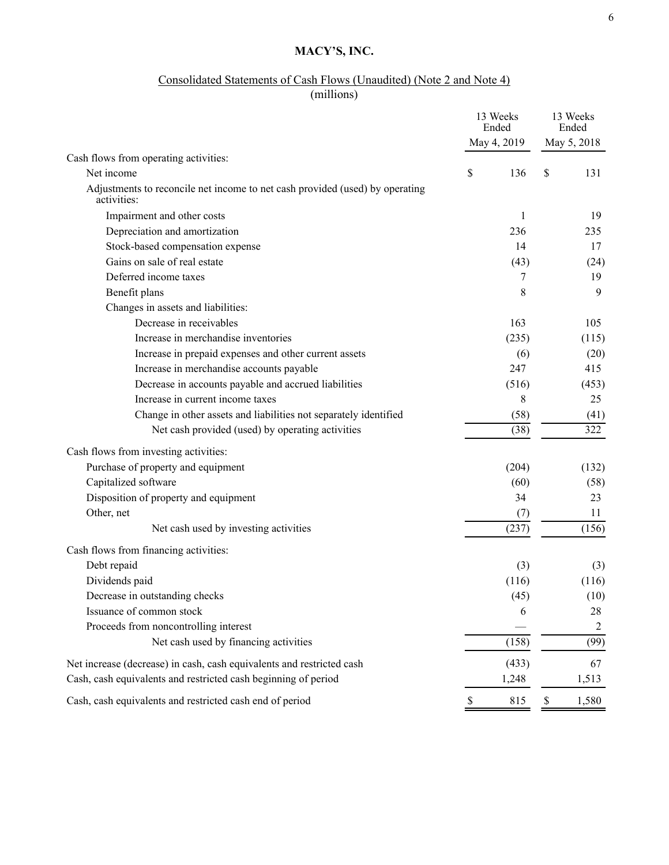# Consolidated Statements of Cash Flows (Unaudited) (Note 2 and Note 4)

(millions)

| Cash flows from operating activities:                                                       |    | 13 Weeks<br>Ended<br>May 4, 2019 | 13 Weeks<br>Ended<br>May 5, 2018 |                  |
|---------------------------------------------------------------------------------------------|----|----------------------------------|----------------------------------|------------------|
|                                                                                             |    |                                  |                                  |                  |
| Net income                                                                                  | \$ | 136                              | \$                               | 131              |
| Adjustments to reconcile net income to net cash provided (used) by operating<br>activities: |    |                                  |                                  |                  |
| Impairment and other costs                                                                  |    | 1                                |                                  | 19               |
| Depreciation and amortization                                                               |    | 236                              |                                  | 235              |
| Stock-based compensation expense                                                            |    | 14                               |                                  | 17               |
| Gains on sale of real estate                                                                |    | (43)                             |                                  | (24)             |
| Deferred income taxes                                                                       |    | 7                                |                                  | 19               |
| Benefit plans                                                                               |    | 8                                |                                  | 9                |
| Changes in assets and liabilities:                                                          |    |                                  |                                  |                  |
| Decrease in receivables                                                                     |    | 163                              |                                  | 105              |
| Increase in merchandise inventories                                                         |    | (235)                            |                                  | (115)            |
| Increase in prepaid expenses and other current assets                                       |    | (6)                              |                                  | (20)             |
| Increase in merchandise accounts payable                                                    |    | 247                              |                                  | 415              |
| Decrease in accounts payable and accrued liabilities                                        |    | (516)                            |                                  | (453)            |
| Increase in current income taxes                                                            |    | 8                                |                                  | 25               |
| Change in other assets and liabilities not separately identified                            |    | (58)                             |                                  | (41)             |
| Net cash provided (used) by operating activities                                            |    | (38)                             |                                  | $\overline{322}$ |
| Cash flows from investing activities:                                                       |    |                                  |                                  |                  |
| Purchase of property and equipment                                                          |    | (204)                            |                                  | (132)            |
| Capitalized software                                                                        |    | (60)                             |                                  | (58)             |
| Disposition of property and equipment                                                       |    | 34                               |                                  | 23               |
| Other, net                                                                                  |    | (7)                              |                                  | 11               |
| Net cash used by investing activities                                                       |    | (237)                            |                                  | (156)            |
| Cash flows from financing activities:                                                       |    |                                  |                                  |                  |
| Debt repaid                                                                                 |    | (3)                              |                                  | (3)              |
| Dividends paid                                                                              |    | (116)                            |                                  | (116)            |
| Decrease in outstanding checks                                                              |    | (45)                             |                                  | (10)             |
| Issuance of common stock                                                                    |    | 6                                |                                  | 28               |
| Proceeds from noncontrolling interest                                                       |    |                                  |                                  | 2                |
| Net cash used by financing activities                                                       |    | (158)                            |                                  | (99)             |
| Net increase (decrease) in cash, cash equivalents and restricted cash                       |    | (433)                            |                                  | 67               |
| Cash, cash equivalents and restricted cash beginning of period                              |    | 1,248                            |                                  | 1,513            |
| Cash, cash equivalents and restricted cash end of period                                    | \$ | 815                              | $\mathbb S$                      | 1,580            |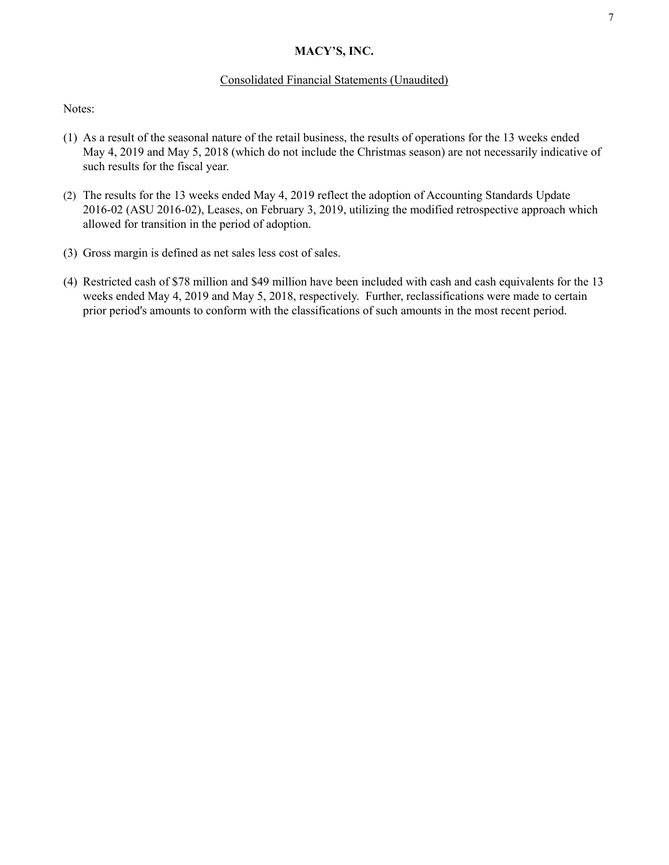#### Consolidated Financial Statements (Unaudited)

Notes:

- (1) As a result of the seasonal nature of the retail business, the results of operations for the 13 weeks ended May 4, 2019 and May 5, 2018 (which do not include the Christmas season) are not necessarily indicative of such results for the fiscal year.
- (2) The results for the 13 weeks ended May 4, 2019 reflect the adoption of Accounting Standards Update 2016-02 (ASU 2016-02), Leases, on February 3, 2019, utilizing the modified retrospective approach which allowed for transition in the period of adoption.
- (3) Gross margin is defined as net sales less cost of sales.
- (4) Restricted cash of \$78 million and \$49 million have been included with cash and cash equivalents for the 13 weeks ended May 4, 2019 and May 5, 2018, respectively. Further, reclassifications were made to certain prior period's amounts to conform with the classifications of such amounts in the most recent period.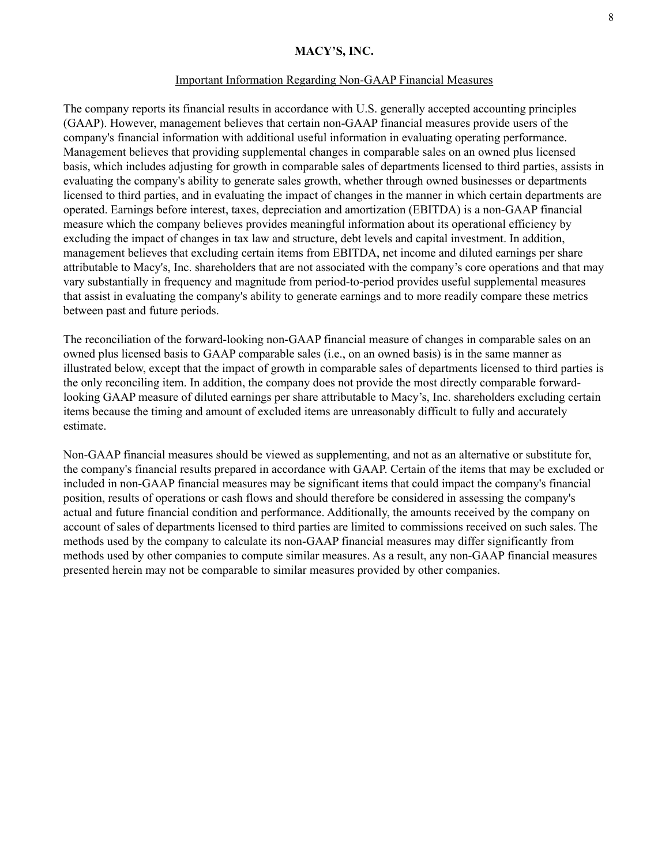#### Important Information Regarding Non-GAAP Financial Measures

The company reports its financial results in accordance with U.S. generally accepted accounting principles (GAAP). However, management believes that certain non-GAAP financial measures provide users of the company's financial information with additional useful information in evaluating operating performance. Management believes that providing supplemental changes in comparable sales on an owned plus licensed basis, which includes adjusting for growth in comparable sales of departments licensed to third parties, assists in evaluating the company's ability to generate sales growth, whether through owned businesses or departments licensed to third parties, and in evaluating the impact of changes in the manner in which certain departments are operated. Earnings before interest, taxes, depreciation and amortization (EBITDA) is a non-GAAP financial measure which the company believes provides meaningful information about its operational efficiency by excluding the impact of changes in tax law and structure, debt levels and capital investment. In addition, management believes that excluding certain items from EBITDA, net income and diluted earnings per share attributable to Macy's, Inc. shareholders that are not associated with the company's core operations and that may vary substantially in frequency and magnitude from period-to-period provides useful supplemental measures that assist in evaluating the company's ability to generate earnings and to more readily compare these metrics between past and future periods.

The reconciliation of the forward-looking non-GAAP financial measure of changes in comparable sales on an owned plus licensed basis to GAAP comparable sales (i.e., on an owned basis) is in the same manner as illustrated below, except that the impact of growth in comparable sales of departments licensed to third parties is the only reconciling item. In addition, the company does not provide the most directly comparable forwardlooking GAAP measure of diluted earnings per share attributable to Macy's, Inc. shareholders excluding certain items because the timing and amount of excluded items are unreasonably difficult to fully and accurately estimate.

Non-GAAP financial measures should be viewed as supplementing, and not as an alternative or substitute for, the company's financial results prepared in accordance with GAAP. Certain of the items that may be excluded or included in non-GAAP financial measures may be significant items that could impact the company's financial position, results of operations or cash flows and should therefore be considered in assessing the company's actual and future financial condition and performance. Additionally, the amounts received by the company on account of sales of departments licensed to third parties are limited to commissions received on such sales. The methods used by the company to calculate its non-GAAP financial measures may differ significantly from methods used by other companies to compute similar measures. As a result, any non-GAAP financial measures presented herein may not be comparable to similar measures provided by other companies.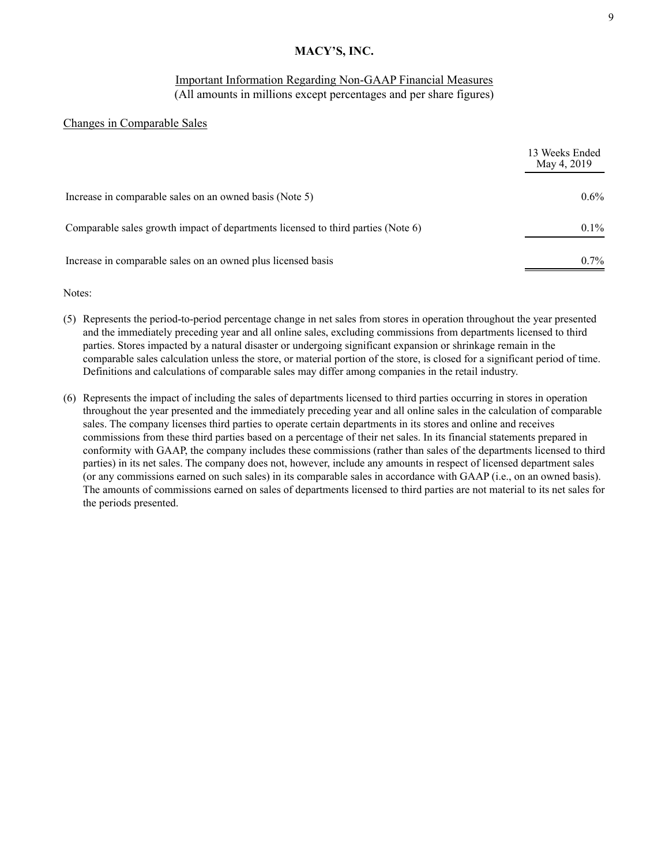### Important Information Regarding Non-GAAP Financial Measures (All amounts in millions except percentages and per share figures)

### Changes in Comparable Sales

|                                                                                  | 13 Weeks Ended<br>May 4, 2019 |
|----------------------------------------------------------------------------------|-------------------------------|
| Increase in comparable sales on an owned basis (Note 5)                          | $0.6\%$                       |
| Comparable sales growth impact of departments licensed to third parties (Note 6) | $0.1\%$                       |
| Increase in comparable sales on an owned plus licensed basis                     | $0.7\%$                       |

Notes:

- (5) Represents the period-to-period percentage change in net sales from stores in operation throughout the year presented and the immediately preceding year and all online sales, excluding commissions from departments licensed to third parties. Stores impacted by a natural disaster or undergoing significant expansion or shrinkage remain in the comparable sales calculation unless the store, or material portion of the store, is closed for a significant period of time. Definitions and calculations of comparable sales may differ among companies in the retail industry.
- (6) Represents the impact of including the sales of departments licensed to third parties occurring in stores in operation throughout the year presented and the immediately preceding year and all online sales in the calculation of comparable sales. The company licenses third parties to operate certain departments in its stores and online and receives commissions from these third parties based on a percentage of their net sales. In its financial statements prepared in conformity with GAAP, the company includes these commissions (rather than sales of the departments licensed to third parties) in its net sales. The company does not, however, include any amounts in respect of licensed department sales (or any commissions earned on such sales) in its comparable sales in accordance with GAAP (i.e., on an owned basis). The amounts of commissions earned on sales of departments licensed to third parties are not material to its net sales for the periods presented.